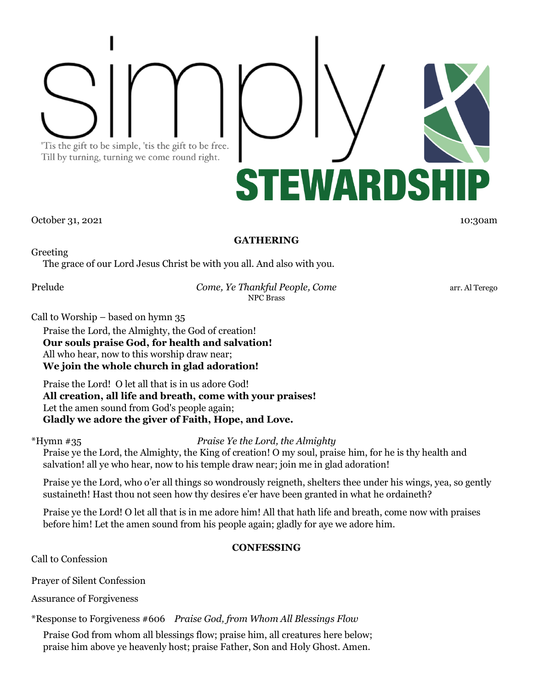'Tis the gift to be simple, 'tis the gift to be free. Till by turning, turning we come round right.



October 31, 2021 10:30am 10:30am 10:30am 10:30am 10:30am 10:30am 10:30am 10:30am

## **GATHERING**

Greeting

The grace of our Lord Jesus Christ be with you all. And also with you.

Prelude *Come, Ye Thankful People, Come* arr. Al Terego NPC Brass

Call to Worship – based on hymn 35

Praise the Lord, the Almighty, the God of creation! **Our souls praise God, for health and salvation!** All who hear, now to this worship draw near; **We join the whole church in glad adoration!**

Praise the Lord! O let all that is in us adore God! **All creation, all life and breath, come with your praises!** Let the amen sound from God's people again; **Gladly we adore the giver of Faith, Hope, and Love.**

\*Hymn #35 *Praise Ye the Lord, the Almighty*

Praise ye the Lord, the Almighty, the King of creation! O my soul, praise him, for he is thy health and salvation! all ye who hear, now to his temple draw near; join me in glad adoration!

Praise ye the Lord, who o'er all things so wondrously reigneth, shelters thee under his wings, yea, so gently sustaineth! Hast thou not seen how thy desires e'er have been granted in what he ordaineth?

Praise ye the Lord! O let all that is in me adore him! All that hath life and breath, come now with praises before him! Let the amen sound from his people again; gladly for aye we adore him.

# **CONFESSING**

Call to Confession

Prayer of Silent Confession

Assurance of Forgiveness

\*Response to Forgiveness #606 *Praise God, from Whom All Blessings Flow*

Praise God from whom all blessings flow; praise him, all creatures here below; praise him above ye heavenly host; praise Father, Son and Holy Ghost. Amen.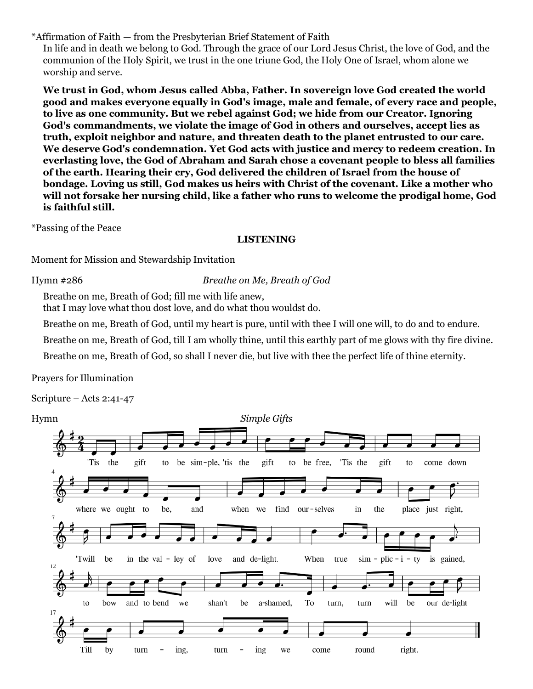\*Affirmation of Faith — from the Presbyterian Brief Statement of Faith

In life and in death we belong to God. Through the grace of our Lord Jesus Christ, the love of God, and the communion of the Holy Spirit, we trust in the one triune God, the Holy One of Israel, whom alone we worship and serve.

**We trust in God, whom Jesus called Abba, Father. In sovereign love God created the world good and makes everyone equally in God's image, male and female, of every race and people, to live as one community. But we rebel against God; we hide from our Creator. Ignoring God's commandments, we violate the image of God in others and ourselves, accept lies as truth, exploit neighbor and nature, and threaten death to the planet entrusted to our care. We deserve God's condemnation. Yet God acts with justice and mercy to redeem creation. In everlasting love, the God of Abraham and Sarah chose a covenant people to bless all families of the earth. Hearing their cry, God delivered the children of Israel from the house of bondage. Loving us still, God makes us heirs with Christ of the covenant. Like a mother who will not forsake her nursing child, like a father who runs to welcome the prodigal home, God is faithful still.**

\*Passing of the Peace

## **LISTENING**

Moment for Mission and Stewardship Invitation

Hymn #286 *Breathe on Me, Breath of God*

Breathe on me, Breath of God; fill me with life anew,

that I may love what thou dost love, and do what thou wouldst do.

Breathe on me, Breath of God, until my heart is pure, until with thee I will one will, to do and to endure.

Breathe on me, Breath of God, till I am wholly thine, until this earthly part of me glows with thy fire divine.

Breathe on me, Breath of God, so shall I never die, but live with thee the perfect life of thine eternity.

Prayers for Illumination

Scripture – Acts 2:41-47

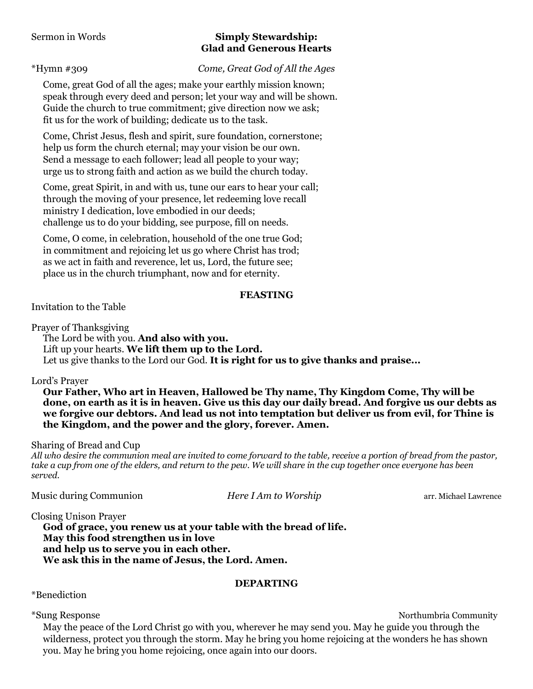## Sermon in Words **Simply Stewardship: Glad and Generous Hearts**

## \*Hymn #309 *Come, Great God of All the Ages*

Come, great God of all the ages; make your earthly mission known; speak through every deed and person; let your way and will be shown. Guide the church to true commitment; give direction now we ask; fit us for the work of building; dedicate us to the task.

Come, Christ Jesus, flesh and spirit, sure foundation, cornerstone; help us form the church eternal; may your vision be our own. Send a message to each follower; lead all people to your way; urge us to strong faith and action as we build the church today.

Come, great Spirit, in and with us, tune our ears to hear your call; through the moving of your presence, let redeeming love recall ministry I dedication, love embodied in our deeds; challenge us to do your bidding, see purpose, fill on needs.

Come, O come, in celebration, household of the one true God; in commitment and rejoicing let us go where Christ has trod; as we act in faith and reverence, let us, Lord, the future see; place us in the church triumphant, now and for eternity.

## **FEASTING**

Invitation to the Table

Prayer of Thanksgiving

The Lord be with you. **And also with you.**  Lift up your hearts. **We lift them up to the Lord.**  Let us give thanks to the Lord our God. **It is right for us to give thanks and praise...** 

## Lord's Prayer

**Our Father, Who art in Heaven, Hallowed be Thy name, Thy Kingdom Come, Thy will be done, on earth as it is in heaven. Give us this day our daily bread. And forgive us our debts as we forgive our debtors. And lead us not into temptation but deliver us from evil, for Thine is the Kingdom, and the power and the glory, forever. Amen.** 

Sharing of Bread and Cup

*All who desire the communion meal are invited to come forward to the table, receive a portion of bread from the pastor, take a cup from one of the elders, and return to the pew. We will share in the cup together once everyone has been served.* 

Music during Communion *Here I Am to Worship* arr. Michael Lawrence

Closing Unison Prayer

**God of grace, you renew us at your table with the bread of life. May this food strengthen us in love and help us to serve you in each other. We ask this in the name of Jesus, the Lord. Amen.**

## **DEPARTING**

\*Benediction

\*Sung Response Northumbria Community

May the peace of the Lord Christ go with you, wherever he may send you. May he guide you through the wilderness, protect you through the storm. May he bring you home rejoicing at the wonders he has shown you. May he bring you home rejoicing, once again into our doors.